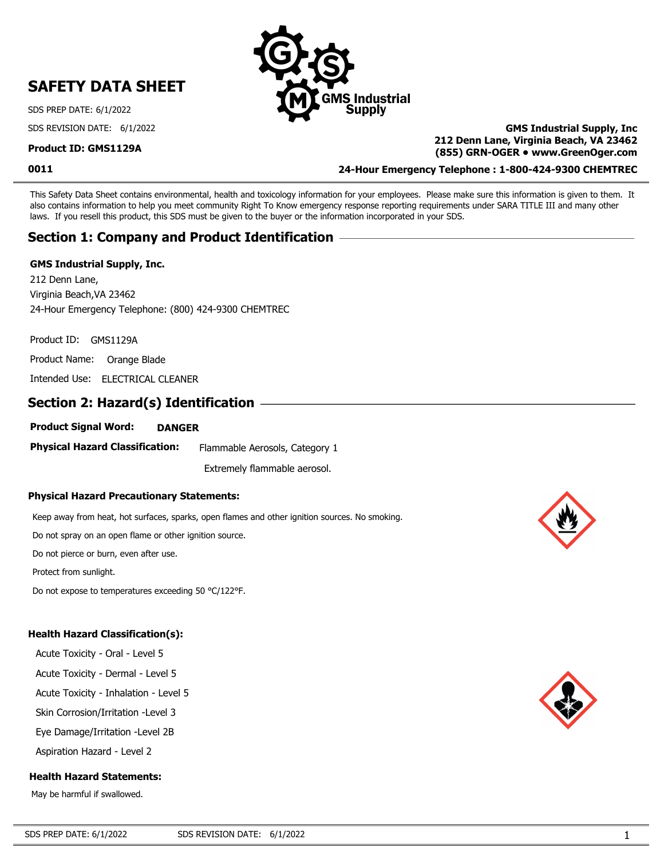# **SAFETY DATA SHEET**

SDS PREP DATE: 6/1/2022

SDS REVISION DATE: 6/1/2022

#### **Product ID: GMS1129A**

**0011**

# **GMS Industrial Supply, Inc 212 Denn Lane, Virginia Beach, VA 23462 (855) GRN-OGER • www.GreenOger.com**

**24-Hour Emergency Telephone : 1-800-424-9300 CHEMTREC**

This Safety Data Sheet contains environmental, health and toxicology information for your employees. Please make sure this information is given to them. It also contains information to help you meet community Right To Know emergency response reporting requirements under SARA TITLE III and many other laws. If you resell this product, this SDS must be given to the buyer or the information incorporated in your SDS.

**Industrial** Supply

# **Section 1: Company and Product Identification**

#### **GMS Industrial Supply, Inc.**

212 Denn Lane, Virginia Beach,VA 23462 24-Hour Emergency Telephone: (800) 424-9300 CHEMTREC

Product ID: GMS1129A

Product Name: Orange Blade

Intended Use: ELECTRICAL CLEANER

# **Section 2: Hazard(s) Identification**

#### **Product Signal Word: DANGER**

**Physical Hazard Classification:** Flammable Aerosols, Category 1

Extremely flammable aerosol.

#### **Physical Hazard Precautionary Statements:**

Keep away from heat, hot surfaces, sparks, open flames and other ignition sources. No smoking.

Do not spray on an open flame or other ignition source.

Do not pierce or burn, even after use.

Protect from sunlight.

Do not expose to temperatures exceeding 50 °C/122°F.

### **Health Hazard Classification(s):**

Acute Toxicity - Oral - Level 5

Acute Toxicity - Dermal - Level 5

Acute Toxicity - Inhalation - Level 5

Skin Corrosion/Irritation -Level 3

Eye Damage/Irritation -Level 2B

Aspiration Hazard - Level 2

### **Health Hazard Statements:**

May be harmful if swallowed.



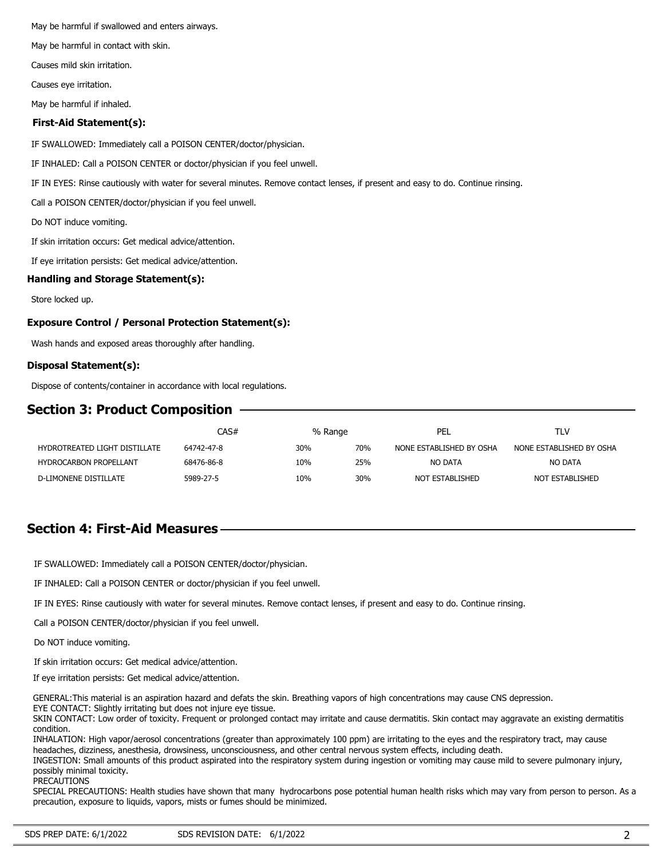May be harmful if swallowed and enters airways.

May be harmful in contact with skin.

Causes mild skin irritation.

Causes eye irritation.

May be harmful if inhaled.

#### **First-Aid Statement(s):**

IF SWALLOWED: Immediately call a POISON CENTER/doctor/physician.

IF INHALED: Call a POISON CENTER or doctor/physician if you feel unwell.

IF IN EYES: Rinse cautiously with water for several minutes. Remove contact lenses, if present and easy to do. Continue rinsing.

Call a POISON CENTER/doctor/physician if you feel unwell.

Do NOT induce vomiting.

If skin irritation occurs: Get medical advice/attention.

If eye irritation persists: Get medical advice/attention.

#### **Handling and Storage Statement(s):**

Store locked up.

#### **Exposure Control / Personal Protection Statement(s):**

Wash hands and exposed areas thoroughly after handling.

#### **Disposal Statement(s):**

Dispose of contents/container in accordance with local regulations.

# **Section 3: Product Composition**

|                               | CAS#       |     | % Range | PEL                      | TLV                      |
|-------------------------------|------------|-----|---------|--------------------------|--------------------------|
| HYDROTREATED LIGHT DISTILLATE | 64742-47-8 | 30% | 70%     | NONE ESTABLISHED BY OSHA | NONE ESTABLISHED BY OSHA |
| <b>HYDROCARBON PROPELLANT</b> | 68476-86-8 | 10% | 25%     | NO DATA                  | NO DATA                  |
| D-LIMONENE DISTILLATE         | 5989-27-5  | 10% | 30%     | NOT ESTABLISHED          | NOT ESTABLISHED          |

### **Section 4: First-Aid Measures**

IF SWALLOWED: Immediately call a POISON CENTER/doctor/physician.

IF INHALED: Call a POISON CENTER or doctor/physician if you feel unwell.

IF IN EYES: Rinse cautiously with water for several minutes. Remove contact lenses, if present and easy to do. Continue rinsing.

Call a POISON CENTER/doctor/physician if you feel unwell.

Do NOT induce vomiting.

If skin irritation occurs: Get medical advice/attention.

If eye irritation persists: Get medical advice/attention.

GENERAL:This material is an aspiration hazard and defats the skin. Breathing vapors of high concentrations may cause CNS depression.

EYE CONTACT: Slightly irritating but does not injure eye tissue. SKIN CONTACT: Low order of toxicity. Frequent or prolonged contact may irritate and cause dermatitis. Skin contact may aggravate an existing dermatitis condition.

INHALATION: High vapor/aerosol concentrations (greater than approximately 100 ppm) are irritating to the eyes and the respiratory tract, may cause headaches, dizziness, anesthesia, drowsiness, unconsciousness, and other central nervous system effects, including death.

INGESTION: Small amounts of this product aspirated into the respiratory system during ingestion or vomiting may cause mild to severe pulmonary injury, possibly minimal toxicity.

PRECAUTIONS

SPECIAL PRECAUTIONS: Health studies have shown that many hydrocarbons pose potential human health risks which may vary from person to person. As a precaution, exposure to liquids, vapors, mists or fumes should be minimized.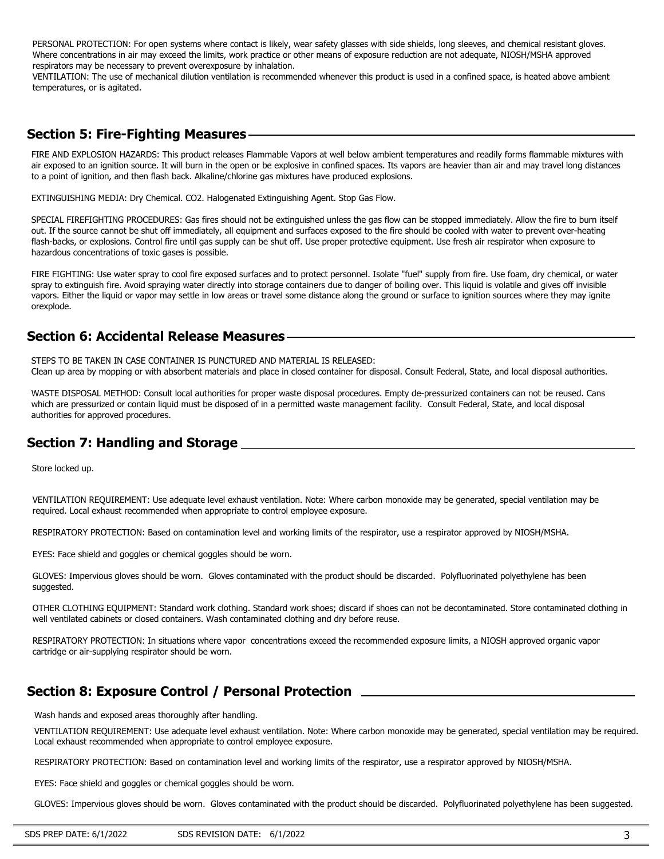PERSONAL PROTECTION: For open systems where contact is likely, wear safety glasses with side shields, long sleeves, and chemical resistant gloves. Where concentrations in air may exceed the limits, work practice or other means of exposure reduction are not adequate, NIOSH/MSHA approved respirators may be necessary to prevent overexposure by inhalation.

VENTILATION: The use of mechanical dilution ventilation is recommended whenever this product is used in a confined space, is heated above ambient temperatures, or is agitated.

### **Section 5: Fire-Fighting Measures**

FIRE AND EXPLOSION HAZARDS: This product releases Flammable Vapors at well below ambient temperatures and readily forms flammable mixtures with air exposed to an ignition source. It will burn in the open or be explosive in confined spaces. Its vapors are heavier than air and may travel long distances to a point of ignition, and then flash back. Alkaline/chlorine gas mixtures have produced explosions.

EXTINGUISHING MEDIA: Dry Chemical. CO2. Halogenated Extinguishing Agent. Stop Gas Flow.

SPECIAL FIREFIGHTING PROCEDURES: Gas fires should not be extinguished unless the gas flow can be stopped immediately. Allow the fire to burn itself out. If the source cannot be shut off immediately, all equipment and surfaces exposed to the fire should be cooled with water to prevent over-heating flash-backs, or explosions. Control fire until gas supply can be shut off. Use proper protective equipment. Use fresh air respirator when exposure to hazardous concentrations of toxic gases is possible.

FIRE FIGHTING: Use water spray to cool fire exposed surfaces and to protect personnel. Isolate "fuel" supply from fire. Use foam, dry chemical, or water spray to extinguish fire. Avoid spraying water directly into storage containers due to danger of boiling over. This liquid is volatile and gives off invisible vapors. Either the liquid or vapor may settle in low areas or travel some distance along the ground or surface to ignition sources where they may ignite orexplode.

### **Section 6: Accidental Release Measures**

STEPS TO BE TAKEN IN CASE CONTAINER IS PUNCTURED AND MATERIAL IS RELEASED: Clean up area by mopping or with absorbent materials and place in closed container for disposal. Consult Federal, State, and local disposal authorities.

WASTE DISPOSAL METHOD: Consult local authorities for proper waste disposal procedures. Empty de-pressurized containers can not be reused. Cans which are pressurized or contain liquid must be disposed of in a permitted waste management facility. Consult Federal, State, and local disposal authorities for approved procedures.

# **Section 7: Handling and Storage**

Store locked up.

VENTILATION REQUIREMENT: Use adequate level exhaust ventilation. Note: Where carbon monoxide may be generated, special ventilation may be required. Local exhaust recommended when appropriate to control employee exposure.

RESPIRATORY PROTECTION: Based on contamination level and working limits of the respirator, use a respirator approved by NIOSH/MSHA.

EYES: Face shield and goggles or chemical goggles should be worn.

GLOVES: Impervious gloves should be worn. Gloves contaminated with the product should be discarded. Polyfluorinated polyethylene has been suggested.

OTHER CLOTHING EQUIPMENT: Standard work clothing. Standard work shoes; discard if shoes can not be decontaminated. Store contaminated clothing in well ventilated cabinets or closed containers. Wash contaminated clothing and dry before reuse.

RESPIRATORY PROTECTION: In situations where vapor concentrations exceed the recommended exposure limits, a NIOSH approved organic vapor cartridge or air-supplying respirator should be worn.

# **Section 8: Exposure Control / Personal Protection**

Wash hands and exposed areas thoroughly after handling.

VENTILATION REQUIREMENT: Use adequate level exhaust ventilation. Note: Where carbon monoxide may be generated, special ventilation may be required. Local exhaust recommended when appropriate to control employee exposure.

RESPIRATORY PROTECTION: Based on contamination level and working limits of the respirator, use a respirator approved by NIOSH/MSHA.

EYES: Face shield and goggles or chemical goggles should be worn.

GLOVES: Impervious gloves should be worn. Gloves contaminated with the product should be discarded. Polyfluorinated polyethylene has been suggested.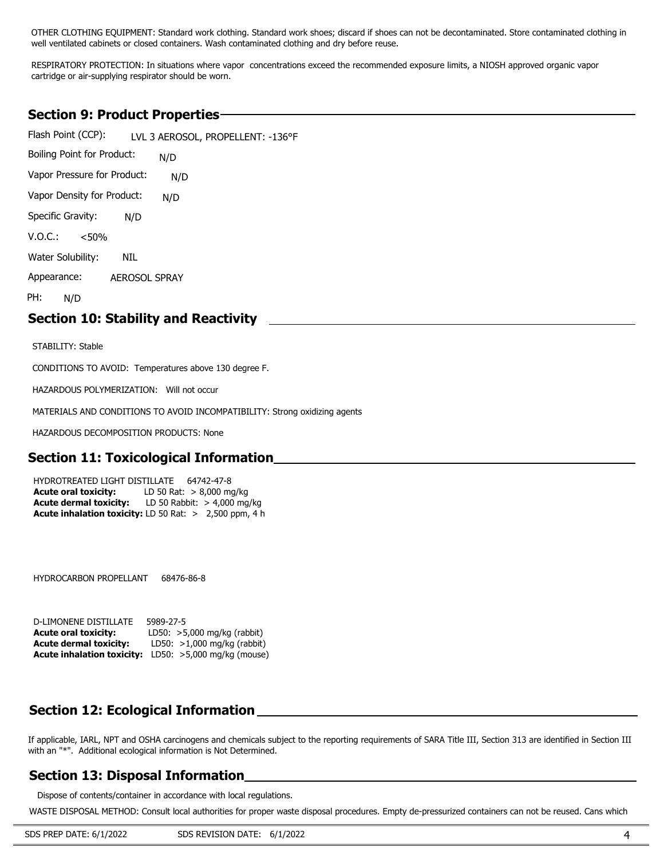OTHER CLOTHING EQUIPMENT: Standard work clothing. Standard work shoes; discard if shoes can not be decontaminated. Store contaminated clothing in well ventilated cabinets or closed containers. Wash contaminated clothing and dry before reuse.

RESPIRATORY PROTECTION: In situations where vapor concentrations exceed the recommended exposure limits, a NIOSH approved organic vapor cartridge or air-supplying respirator should be worn.

### **Section 9: Product Properties**

Flash Point (CCP): Boiling Point for Product: Vapor Pressure for Product: Vapor Density for Product: LVL 3 AEROSOL, PROPELLENT: -136°F N/D N/D N/D N/D NIL AEROSOL SPRAY Specific Gravity:  $V. O.C.: \, 30\%$ Water Solubility: Appearance: PH: N/D

#### **Section 10: Stability and Reactivity**

STABILITY: Stable

CONDITIONS TO AVOID: Temperatures above 130 degree F.

HAZARDOUS POLYMERIZATION: Will not occur

MATERIALS AND CONDITIONS TO AVOID INCOMPATIBILITY: Strong oxidizing agents

HAZARDOUS DECOMPOSITION PRODUCTS: None

#### **Section 11: Toxicological Information**

**Acute inhalation toxicity:** LD 50 Rat: > 2,500 ppm, 4 h HYDROTREATED LIGHT DISTILLATE 64742-47-8 **Acute oral toxicity:** LD 50 Rat: > 8,000 mg/kg **Acute dermal toxicity:** LD 50 Rabbit: > 4,000 mg/kg

HYDROCARBON PROPELLANT 68476-86-8

| D-LIMONENE DISTILLATE         | 5989-27-5                                                    |
|-------------------------------|--------------------------------------------------------------|
| <b>Acute oral toxicity:</b>   | LD50: $>5,000$ mg/kg (rabbit)                                |
| <b>Acute dermal toxicity:</b> | LD50: $>1,000$ mg/kg (rabbit)                                |
|                               | <b>Acute inhalation toxicity:</b> LD50: >5,000 mg/kg (mouse) |

### **Section 12: Ecological Information**

If applicable, IARL, NPT and OSHA carcinogens and chemicals subject to the reporting requirements of SARA Title III, Section 313 are identified in Section III with an "\*". Additional ecological information is Not Determined.

#### **Section 13: Disposal Information**

Dispose of contents/container in accordance with local regulations.

WASTE DISPOSAL METHOD: Consult local authorities for proper waste disposal procedures. Empty de-pressurized containers can not be reused. Cans which